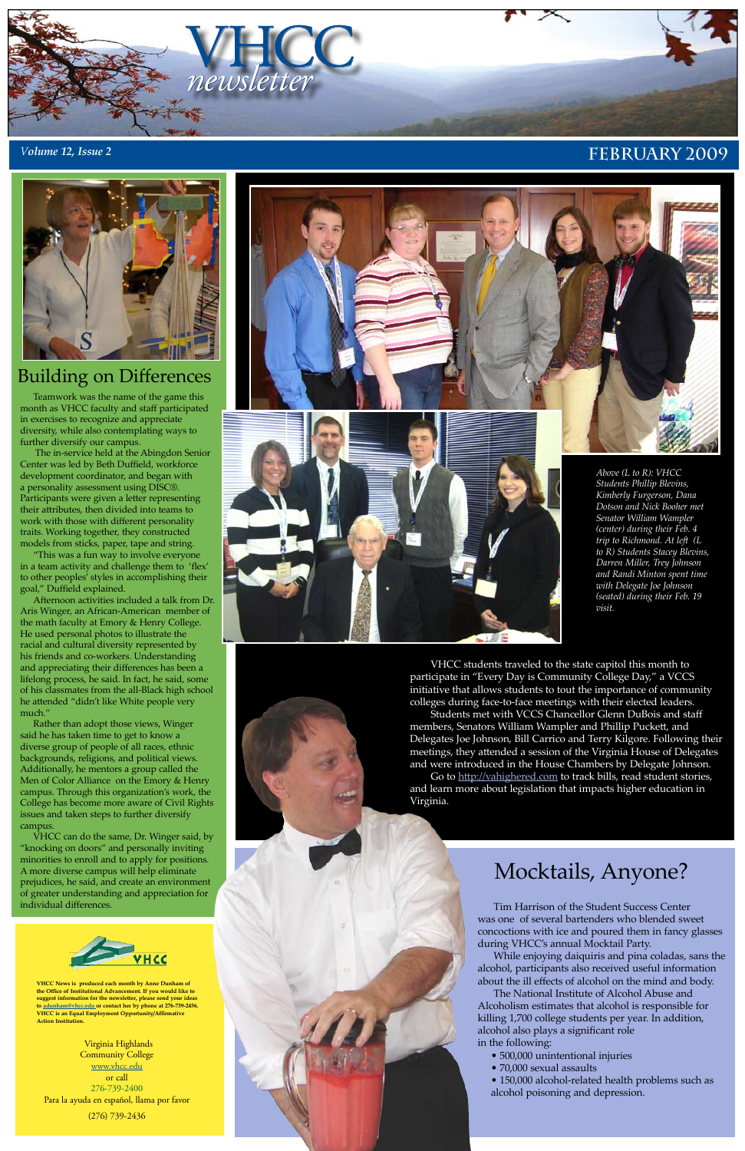## Mocktails, Anyone?

Tim Harrison of the Student Success Center was one of several bartenders who blended sweet concoctions with ice and poured them in fancy glasses during VHCC's annual Mocktail Party.

While enjoying daiquiris and pina coladas, sans the alcohol, participants also received useful information about the ill effects of alcohol on the mind and body.

The National Institute of Alcohol Abuse and Alcoholism estimates that alcohol is responsible for killing 1,700 college students per year. In addition, alcohol also plays a significant role in the following:

- 500,000 unintentional injuries
- 70,000 sexual assaults

• 150,000 alcohol-related health problems such as alcohol poisoning and depression.

Teamwork was the name of the game this month as VHCC faculty and staff participated in exercises to recognize and appreciate diversity, while also contemplating ways to further diversify our campus.

The in-service held at the Abingdon Senior Center was led by Beth Duffield, workforce development coordinator, and began with a personality assessment using DISC®. Participants were given a letter representing their attributes, then divided into teams to work with those with different personality traits. Working together, they constructed models from sticks, paper, tape and string.

"This was a fun way to involve everyone in a team activity and challenge them to 'flex' to other peoples' styles in accomplishing their goal," Duffield explained.

Afternoon activities included a talk from Dr. Aris Winger, an African-American member of the math faculty at Emory & Henry College. He used personal photos to illustrate the racial and cultural diversity represented by his friends and co-workers. Understanding and appreciating their differences has been a lifelong process, he said. In fact, he said, some of his classmates from the all-Black high school he attended "didn't like White people very much."



Rather than adopt those views, Winger said he has taken time to get to know a diverse group of people of all races, ethnic backgrounds, religions, and political views. Additionally, he mentors a group called the Men of Color Alliance on the Emory & Henry campus. Through this organization's work, the College has become more aware of Civil Rights issues and taken steps to further diversify campus.

VHCC can do the same, Dr. Winger said, by "knocking on doors" and personally inviting minorities to enroll and to apply for positions. A more diverse campus will help eliminate prejudices, he said, and create an environment of greater understanding and appreciation for individual differences.



Virginia Highlands **Community College** [www.vhcc.edu](http://www.vhcc.edu) or call 276-739-2400 Para la ayuda en español, llama por favor (276) 739-2436



**VHCC News is produced each month by Anne Dunham of the Office of Institutional Advancement. If you would like to suggest information for the newsletter, please send your ideas to [adunham@vhcc.ed](mailto:adunham@vhcc.edu)u or contact her by phone at 276-739-2456. VHCC is an Equal Employment Opportunity/Affirmative Action Institution.**





### Building on Differences

VHCC students traveled to the state capitol this month to participate in "Every Day is Community College Day," a VCCS initiative that allows students to tout the importance of community colleges during face-to-face meetings with their elected leaders.

Students met with VCCS Chancellor Glenn DuBois and staff members, Senators William Wampler and Phillip Puckett, and Delegates Joe Johnson, Bill Carrico and Terry Kilgore. Following their meetings, they attended a session of the Virginia House of Delegates and were introduced in the House Chambers by Delegate Johnson.

Go to <http://vahighered.com> to track bills, read student stories, and learn more about legislation that impacts higher education in Virginia.